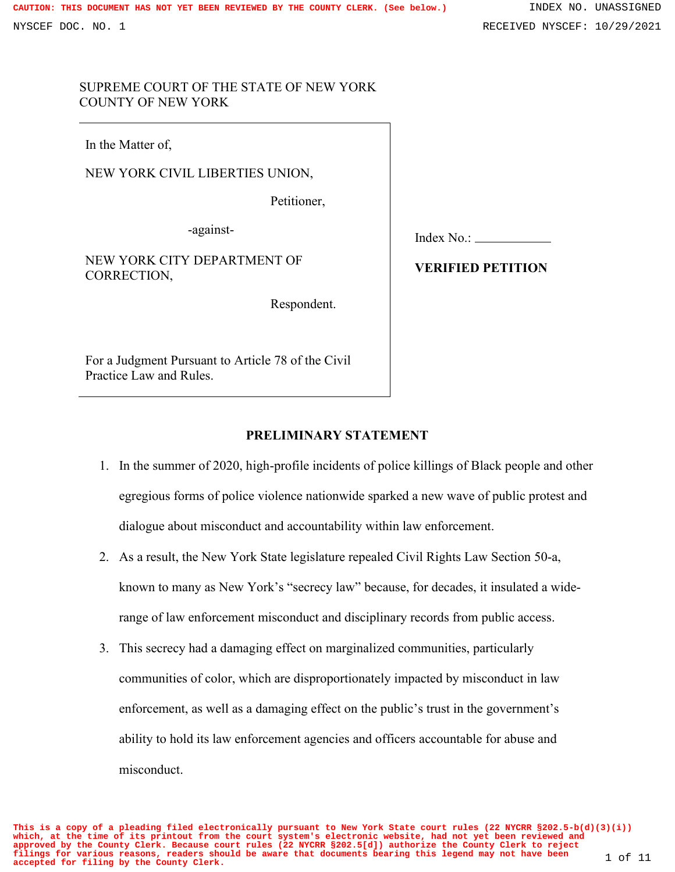### SUPREME COURT OF THE STATE OF NEW YORK COUNTY OF NEW YORK

In the Matter of,

NEW YORK CIVIL LIBERTIES UNION,

Petitioner,

-against-

NEW YORK CITY DEPARTMENT OF CORRECTION,

Respondent.

For a Judgment Pursuant to Article 78 of the Civil Practice Law and Rules.

Index No.:

# **VERIFIED PETITION**

## **PRELIMINARY STATEMENT**

- 1. In the summer of 2020, high-profile incidents of police killings of Black people and other egregious forms of police violence nationwide sparked a new wave of public protest and dialogue about misconduct and accountability within law enforcement.
- 2. As a result, the New York State legislature repealed Civil Rights Law Section 50-a, known to many as New York's "secrecy law" because, for decades, it insulated a widerange of law enforcement misconduct and disciplinary records from public access.
- 3. This secrecy had a damaging effect on marginalized communities, particularly communities of color, which are disproportionately impacted by misconduct in law enforcement, as well as a damaging effect on the public's trust in the government's ability to hold its law enforcement agencies and officers accountable for abuse and misconduct.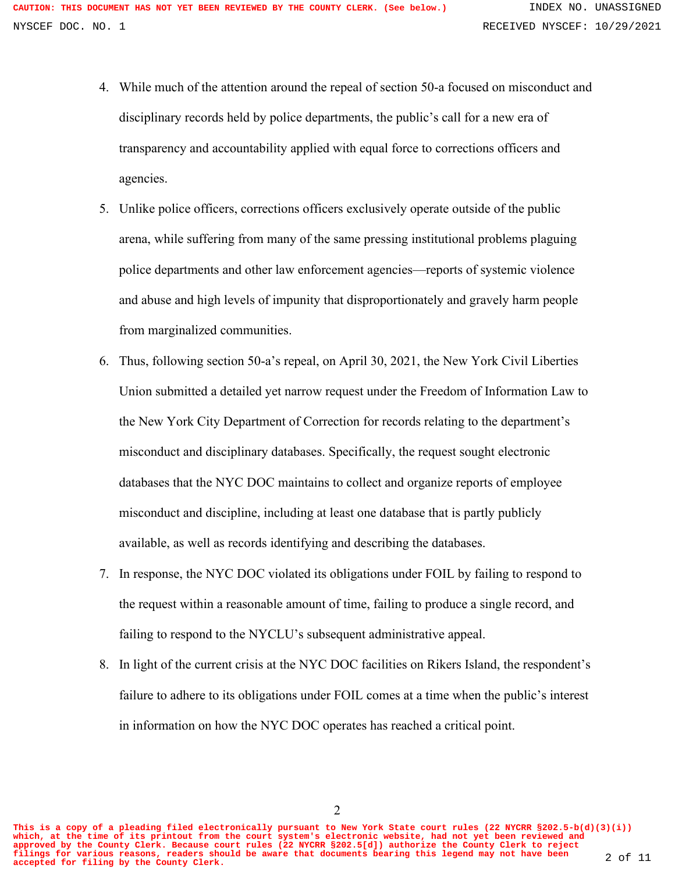- 4. While much of the attention around the repeal of section 50-a focused on misconduct and disciplinary records held by police departments, the public's call for a new era of transparency and accountability applied with equal force to corrections officers and agencies.
- 5. Unlike police officers, corrections officers exclusively operate outside of the public arena, while suffering from many of the same pressing institutional problems plaguing police departments and other law enforcement agencies—reports of systemic violence and abuse and high levels of impunity that disproportionately and gravely harm people from marginalized communities.
- 6. Thus, following section 50-a's repeal, on April 30, 2021, the New York Civil Liberties Union submitted a detailed yet narrow request under the Freedom of Information Law to the New York City Department of Correction for records relating to the department's misconduct and disciplinary databases. Specifically, the request sought electronic databases that the NYC DOC maintains to collect and organize reports of employee misconduct and discipline, including at least one database that is partly publicly available, as well as records identifying and describing the databases.
- 7. In response, the NYC DOC violated its obligations under FOIL by failing to respond to the request within a reasonable amount of time, failing to produce a single record, and failing to respond to the NYCLU's subsequent administrative appeal.
- 8. In light of the current crisis at the NYC DOC facilities on Rikers Island, the respondent's failure to adhere to its obligations under FOIL comes at a time when the public's interest in information on how the NYC DOC operates has reached a critical point.

2

**This is a copy of a pleading filed electronically pursuant to New York State court rules (22 NYCRR §202.5-b(d)(3)(i)) which, at the time of its printout from the court system's electronic website, had not yet been reviewed and approved by the County Clerk. Because court rules (22 NYCRR §202.5[d]) authorize the County Clerk to reject filings for various reasons, readers should be aware that documents bearing this legend may not have been accepted for filing by the County Clerk.** 2 of 11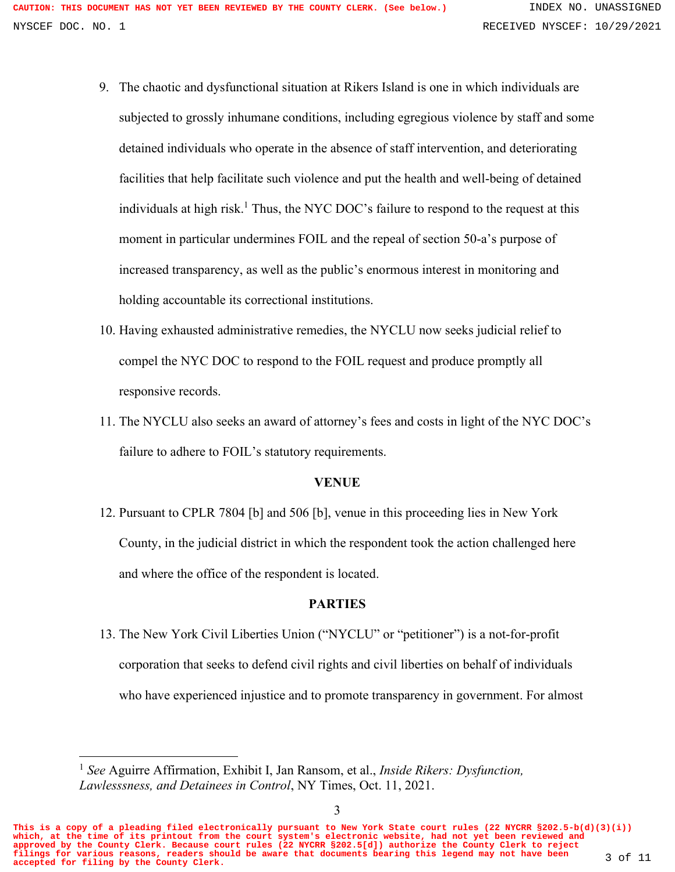- 9. The chaotic and dysfunctional situation at Rikers Island is one in which individuals are subjected to grossly inhumane conditions, including egregious violence by staff and some detained individuals who operate in the absence of staff intervention, and deteriorating facilities that help facilitate such violence and put the health and well-being of detained individuals at high risk.<sup>1</sup> Thus, the NYC DOC's failure to respond to the request at this moment in particular undermines FOIL and the repeal of section 50-a's purpose of increased transparency, as well as the public's enormous interest in monitoring and holding accountable its correctional institutions.
- 10. Having exhausted administrative remedies, the NYCLU now seeks judicial relief to compel the NYC DOC to respond to the FOIL request and produce promptly all responsive records.
- 11. The NYCLU also seeks an award of attorney's fees and costs in light of the NYC DOC's failure to adhere to FOIL's statutory requirements.

#### **VENUE**

12. Pursuant to CPLR 7804 [b] and 506 [b], venue in this proceeding lies in New York County, in the judicial district in which the respondent took the action challenged here and where the office of the respondent is located.

### **PARTIES**

13. The New York Civil Liberties Union ("NYCLU" or "petitioner") is a not-for-profit corporation that seeks to defend civil rights and civil liberties on behalf of individuals who have experienced injustice and to promote transparency in government. For almost

**This is a copy of a pleading filed electronically pursuant to New York State court rules (22 NYCRR §202.5-b(d)(3)(i)) which, at the time of its printout from the court system's electronic website, had not yet been reviewed and approved by the County Clerk. Because court rules (22 NYCRR §202.5[d]) authorize the County Clerk to reject filings for various reasons, readers should be aware that documents bearing this legend may not have been accepted for filing by the County Clerk.** 3 of 11

<sup>1</sup> *See* Aguirre Affirmation, Exhibit I, Jan Ransom, et al., *Inside Rikers: Dysfunction, Lawlesssness, and Detainees in Control*, NY Times, Oct. 11, 2021.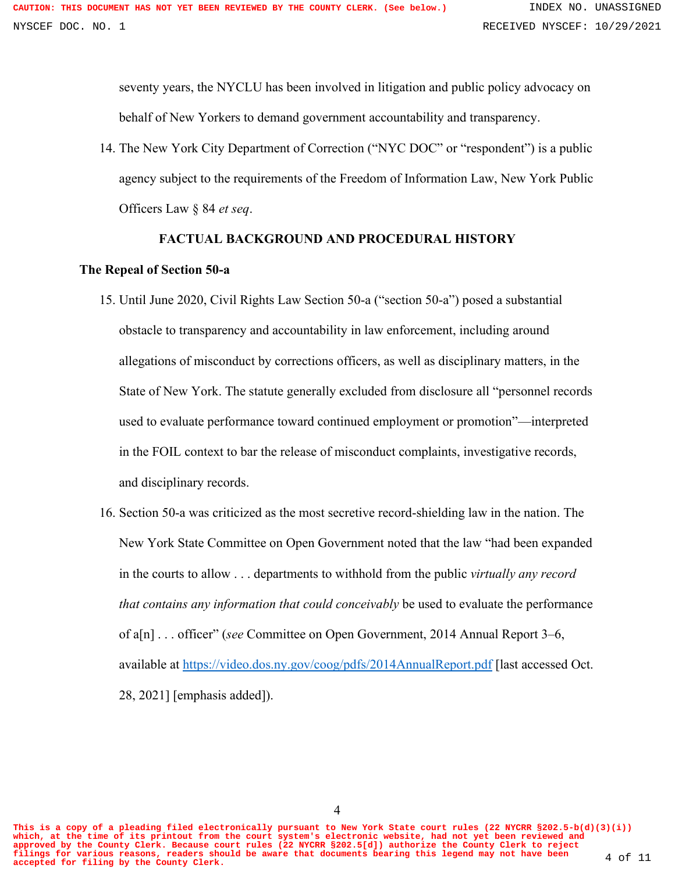seventy years, the NYCLU has been involved in litigation and public policy advocacy on behalf of New Yorkers to demand government accountability and transparency.

14. The New York City Department of Correction ("NYC DOC" or "respondent") is a public agency subject to the requirements of the Freedom of Information Law, New York Public Officers Law § 84 *et seq*.

#### **FACTUAL BACKGROUND AND PROCEDURAL HISTORY**

#### **The Repeal of Section 50-a**

- 15. Until June 2020, Civil Rights Law Section 50-a ("section 50-a") posed a substantial obstacle to transparency and accountability in law enforcement, including around allegations of misconduct by corrections officers, as well as disciplinary matters, in the State of New York. The statute generally excluded from disclosure all "personnel records used to evaluate performance toward continued employment or promotion"—interpreted in the FOIL context to bar the release of misconduct complaints, investigative records, and disciplinary records.
- 16. Section 50-a was criticized as the most secretive record-shielding law in the nation. The New York State Committee on Open Government noted that the law "had been expanded in the courts to allow . . . departments to withhold from the public *virtually any record that contains any information that could conceivably* be used to evaluate the performance of a[n] . . . officer" (*see* Committee on Open Government, 2014 Annual Report 3–6, available at<https://video.dos.ny.gov/coog/pdfs/2014AnnualReport.pdf> [last accessed Oct. 28, 2021] [emphasis added]).

**This is a copy of a pleading filed electronically pursuant to New York State court rules (22 NYCRR §202.5-b(d)(3)(i)) which, at the time of its printout from the court system's electronic website, had not yet been reviewed and approved by the County Clerk. Because court rules (22 NYCRR §202.5[d]) authorize the County Clerk to reject filings for various reasons, readers should be aware that documents bearing this legend may not have been accepted for filing by the County Clerk.** 4 of 11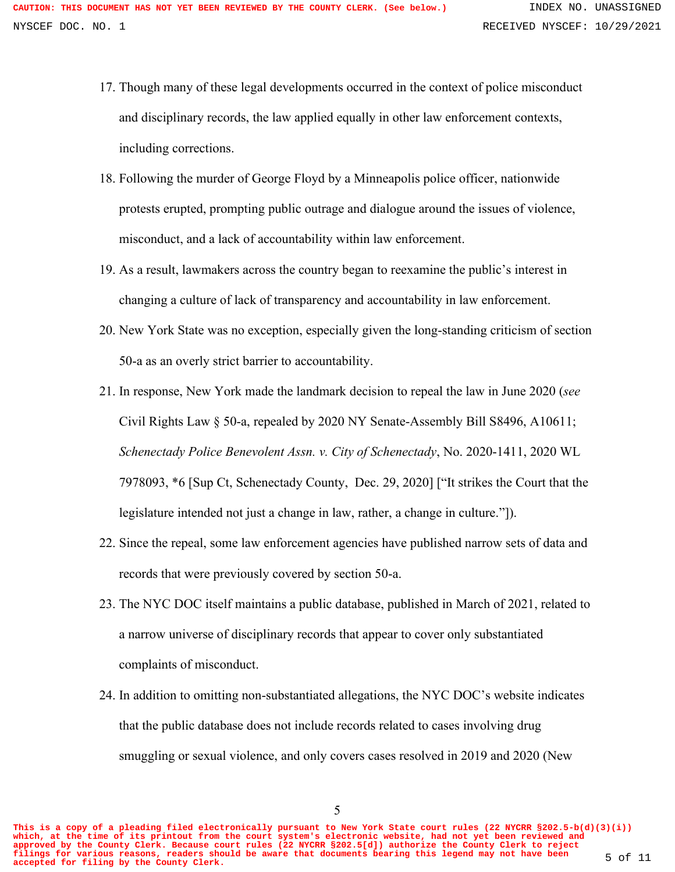- 17. Though many of these legal developments occurred in the context of police misconduct and disciplinary records, the law applied equally in other law enforcement contexts, including corrections.
- 18. Following the murder of George Floyd by a Minneapolis police officer, nationwide protests erupted, prompting public outrage and dialogue around the issues of violence, misconduct, and a lack of accountability within law enforcement.
- 19. As a result, lawmakers across the country began to reexamine the public's interest in changing a culture of lack of transparency and accountability in law enforcement.
- 20. New York State was no exception, especially given the long-standing criticism of section 50-a as an overly strict barrier to accountability.
- 21. In response, New York made the landmark decision to repeal the law in June 2020 (*see* Civil Rights Law § 50-a, repealed by 2020 NY Senate-Assembly Bill S8496, A10611; *Schenectady Police Benevolent Assn. v. City of Schenectady*, No. 2020-1411, 2020 WL 7978093, \*6 [Sup Ct, Schenectady County, Dec. 29, 2020] ["It strikes the Court that the legislature intended not just a change in law, rather, a change in culture."]).
- 22. Since the repeal, some law enforcement agencies have published narrow sets of data and records that were previously covered by section 50-a.
- 23. The NYC DOC itself maintains a public database, published in March of 2021, related to a narrow universe of disciplinary records that appear to cover only substantiated complaints of misconduct.
- 24. In addition to omitting non-substantiated allegations, the NYC DOC's website indicates that the public database does not include records related to cases involving drug smuggling or sexual violence, and only covers cases resolved in 2019 and 2020 (New

**This is a copy of a pleading filed electronically pursuant to New York State court rules (22 NYCRR §202.5-b(d)(3)(i)) which, at the time of its printout from the court system's electronic website, had not yet been reviewed and approved by the County Clerk. Because court rules (22 NYCRR §202.5[d]) authorize the County Clerk to reject filings for various reasons, readers should be aware that documents bearing this legend may not have been accepted for filing by the County Clerk.** 5 of 11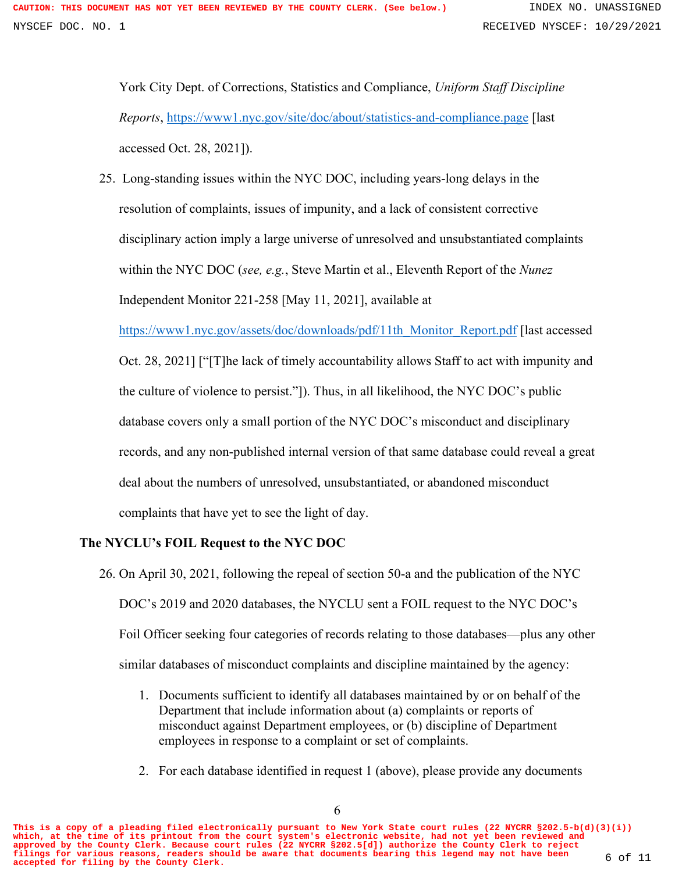York City Dept. of Corrections, Statistics and Compliance, *Uniform Staff Discipline Reports*,<https://www1.nyc.gov/site/doc/about/statistics-and-compliance.page> [last accessed Oct. 28, 2021]).

25. Long-standing issues within the NYC DOC, including years-long delays in the resolution of complaints, issues of impunity, and a lack of consistent corrective disciplinary action imply a large universe of unresolved and unsubstantiated complaints within the NYC DOC (*see, e.g.*, Steve Martin et al., Eleventh Report of the *Nunez* Independent Monitor 221-258 [May 11, 2021], available at

[https://www1.nyc.gov/assets/doc/downloads/pdf/11th\\_Monitor\\_Report.pdf](https://www1.nyc.gov/assets/doc/downloads/pdf/11th_Monitor_Report.pdf) [last accessed

Oct. 28, 2021] ["[T]he lack of timely accountability allows Staff to act with impunity and the culture of violence to persist."]). Thus, in all likelihood, the NYC DOC's public database covers only a small portion of the NYC DOC's misconduct and disciplinary records, and any non-published internal version of that same database could reveal a great deal about the numbers of unresolved, unsubstantiated, or abandoned misconduct complaints that have yet to see the light of day.

# **The NYCLU's FOIL Request to the NYC DOC**

- 26. On April 30, 2021, following the repeal of section 50-a and the publication of the NYC DOC's 2019 and 2020 databases, the NYCLU sent a FOIL request to the NYC DOC's Foil Officer seeking four categories of records relating to those databases—plus any other similar databases of misconduct complaints and discipline maintained by the agency:
	- 1. Documents sufficient to identify all databases maintained by or on behalf of the Department that include information about (a) complaints or reports of misconduct against Department employees, or (b) discipline of Department employees in response to a complaint or set of complaints.
	- 2. For each database identified in request 1 (above), please provide any documents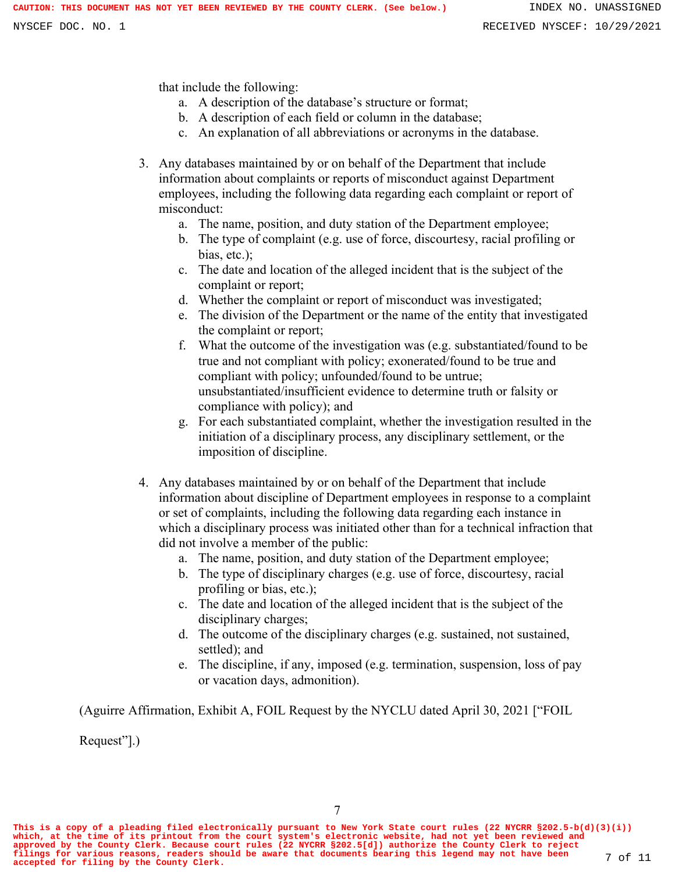that include the following:

- a. A description of the database's structure or format;
- b. A description of each field or column in the database;
- c. An explanation of all abbreviations or acronyms in the database.
- 3. Any databases maintained by or on behalf of the Department that include information about complaints or reports of misconduct against Department employees, including the following data regarding each complaint or report of misconduct:
	- a. The name, position, and duty station of the Department employee;
	- b. The type of complaint (e.g. use of force, discourtesy, racial profiling or bias, etc.);
	- c. The date and location of the alleged incident that is the subject of the complaint or report;
	- d. Whether the complaint or report of misconduct was investigated;
	- e. The division of the Department or the name of the entity that investigated the complaint or report;
	- f. What the outcome of the investigation was (e.g. substantiated/found to be true and not compliant with policy; exonerated/found to be true and compliant with policy; unfounded/found to be untrue; unsubstantiated/insufficient evidence to determine truth or falsity or compliance with policy); and
	- g. For each substantiated complaint, whether the investigation resulted in the initiation of a disciplinary process, any disciplinary settlement, or the imposition of discipline.
- 4. Any databases maintained by or on behalf of the Department that include information about discipline of Department employees in response to a complaint or set of complaints, including the following data regarding each instance in which a disciplinary process was initiated other than for a technical infraction that did not involve a member of the public:
	- a. The name, position, and duty station of the Department employee;
	- b. The type of disciplinary charges (e.g. use of force, discourtesy, racial profiling or bias, etc.);
	- c. The date and location of the alleged incident that is the subject of the disciplinary charges;
	- d. The outcome of the disciplinary charges (e.g. sustained, not sustained, settled); and
	- e. The discipline, if any, imposed (e.g. termination, suspension, loss of pay or vacation days, admonition).

(Aguirre Affirmation, Exhibit A, FOIL Request by the NYCLU dated April 30, 2021 ["FOIL

Request"].)

**This is a copy of a pleading filed electronically pursuant to New York State court rules (22 NYCRR §202.5-b(d)(3)(i)) which, at the time of its printout from the court system's electronic website, had not yet been reviewed and** approved by the County Clerk. Because court rules (22 NYCRR §202.5[d]) authorize the County Clerk to reject<br>filings for various reasons, readers should be aware that documents bearing this legend may not have been 7 of 11<br>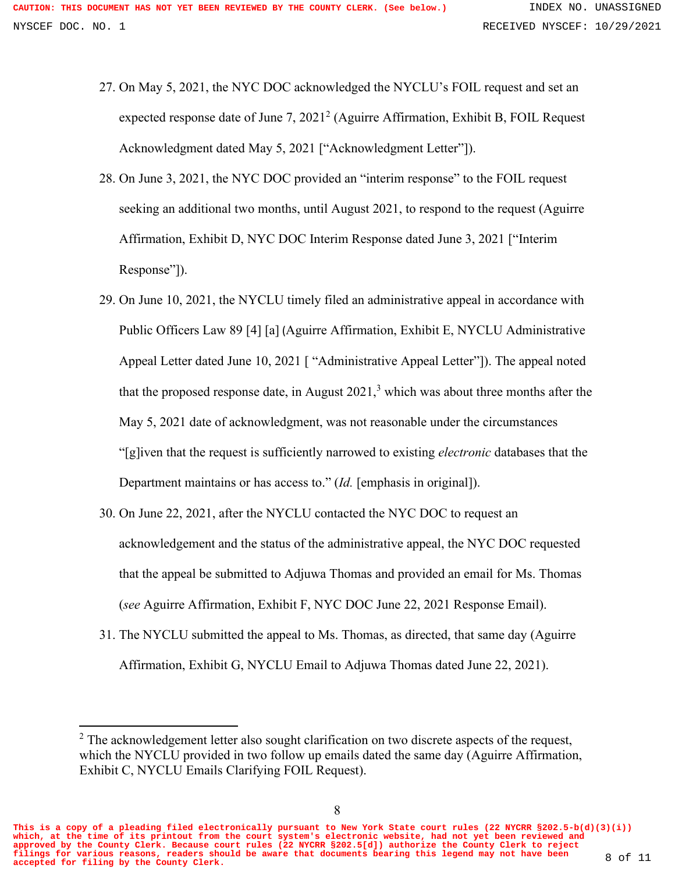- 27. On May 5, 2021, the NYC DOC acknowledged the NYCLU's FOIL request and set an expected response date of June 7, 2021<sup>2</sup> (Aguirre Affirmation, Exhibit B, FOIL Request Acknowledgment dated May 5, 2021 ["Acknowledgment Letter"]).
- 28. On June 3, 2021, the NYC DOC provided an "interim response" to the FOIL request seeking an additional two months, until August 2021, to respond to the request (Aguirre Affirmation, Exhibit D, NYC DOC Interim Response dated June 3, 2021 ["Interim Response"]).
- 29. On June 10, 2021, the NYCLU timely filed an administrative appeal in accordance with Public Officers Law 89 [4] [a] (Aguirre Affirmation, Exhibit E, NYCLU Administrative Appeal Letter dated June 10, 2021 [ "Administrative Appeal Letter"]). The appeal noted that the proposed response date, in August  $2021<sup>3</sup>$  which was about three months after the May 5, 2021 date of acknowledgment, was not reasonable under the circumstances "[g]iven that the request is sufficiently narrowed to existing *electronic* databases that the Department maintains or has access to." (*Id.* [emphasis in original]).
- 30. On June 22, 2021, after the NYCLU contacted the NYC DOC to request an acknowledgement and the status of the administrative appeal, the NYC DOC requested that the appeal be submitted to Adjuwa Thomas and provided an email for Ms. Thomas (*see* Aguirre Affirmation, Exhibit F, NYC DOC June 22, 2021 Response Email).
- 31. The NYCLU submitted the appeal to Ms. Thomas, as directed, that same day (Aguirre Affirmation, Exhibit G, NYCLU Email to Adjuwa Thomas dated June 22, 2021).

**This is a copy of a pleading filed electronically pursuant to New York State court rules (22 NYCRR §202.5-b(d)(3)(i)) which, at the time of its printout from the court system's electronic website, had not yet been reviewed and approved by the County Clerk. Because court rules (22 NYCRR §202.5[d]) authorize the County Clerk to reject filings for various reasons, readers should be aware that documents bearing this legend may not have been accepted for filing by the County Clerk.** 8 of 11

 $2$  The acknowledgement letter also sought clarification on two discrete aspects of the request, which the NYCLU provided in two follow up emails dated the same day (Aguirre Affirmation, Exhibit C, NYCLU Emails Clarifying FOIL Request).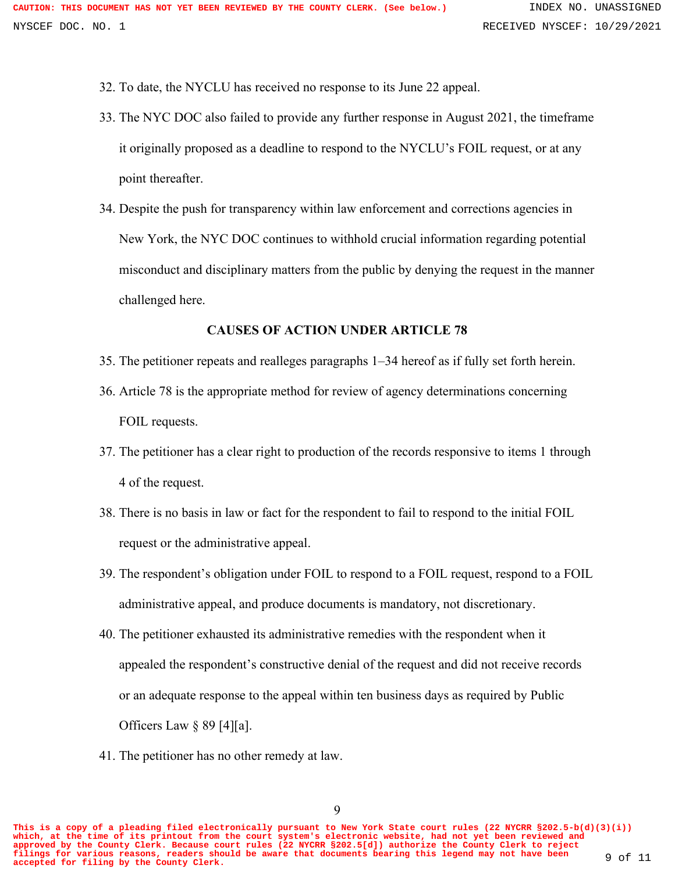32. To date, the NYCLU has received no response to its June 22 appeal.

- 33. The NYC DOC also failed to provide any further response in August 2021, the timeframe it originally proposed as a deadline to respond to the NYCLU's FOIL request, or at any point thereafter.
- 34. Despite the push for transparency within law enforcement and corrections agencies in New York, the NYC DOC continues to withhold crucial information regarding potential misconduct and disciplinary matters from the public by denying the request in the manner challenged here.

### **CAUSES OF ACTION UNDER ARTICLE 78**

- 35. The petitioner repeats and realleges paragraphs 1–34 hereof as if fully set forth herein.
- 36. Article 78 is the appropriate method for review of agency determinations concerning FOIL requests.
- 37. The petitioner has a clear right to production of the records responsive to items 1 through 4 of the request.
- 38. There is no basis in law or fact for the respondent to fail to respond to the initial FOIL request or the administrative appeal.
- 39. The respondent's obligation under FOIL to respond to a FOIL request, respond to a FOIL administrative appeal, and produce documents is mandatory, not discretionary.
- 40. The petitioner exhausted its administrative remedies with the respondent when it appealed the respondent's constructive denial of the request and did not receive records or an adequate response to the appeal within ten business days as required by Public Officers Law  $\S 89 [4][a]$ .
- 41. The petitioner has no other remedy at law.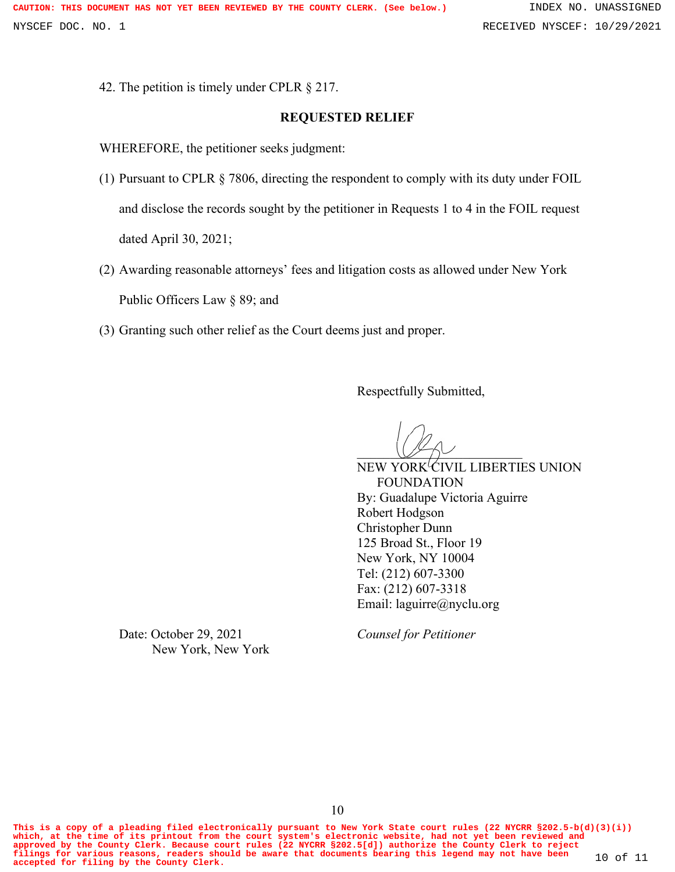42. The petition is timely under CPLR § 217.

### **REQUESTED RELIEF**

WHEREFORE, the petitioner seeks judgment:

- (1) Pursuant to CPLR § 7806, directing the respondent to comply with its duty under FOIL and disclose the records sought by the petitioner in Requests 1 to 4 in the FOIL request dated April 30, 2021;
- (2) Awarding reasonable attorneys' fees and litigation costs as allowed under New York Public Officers Law § 89; and
- (3) Granting such other relief as the Court deems just and proper.

Respectfully Submitted,

 $\cup$ 

NEW YORK<sup>I</sup>CIVIL LIBERTIES UNION FOUNDATION By: Guadalupe Victoria Aguirre Robert Hodgson Christopher Dunn 125 Broad St., Floor 19 New York, NY 10004 Tel: (212) 607-3300 Fax: (212) 607-3318 Email: laguirre@nyclu.org

Date: October 29, 2021 *Counsel for Petitioner* New York, New York

**This is a copy of a pleading filed electronically pursuant to New York State court rules (22 NYCRR §202.5-b(d)(3)(i)) which, at the time of its printout from the court system's electronic website, had not yet been reviewed and** approved by the County Clerk. Because court rules (22 NYCRR §202.5[d]) authorize the County Clerk to reject<br>filings for various reasons, readers should be aware that documents bearing this legend may not have been 10 of 11